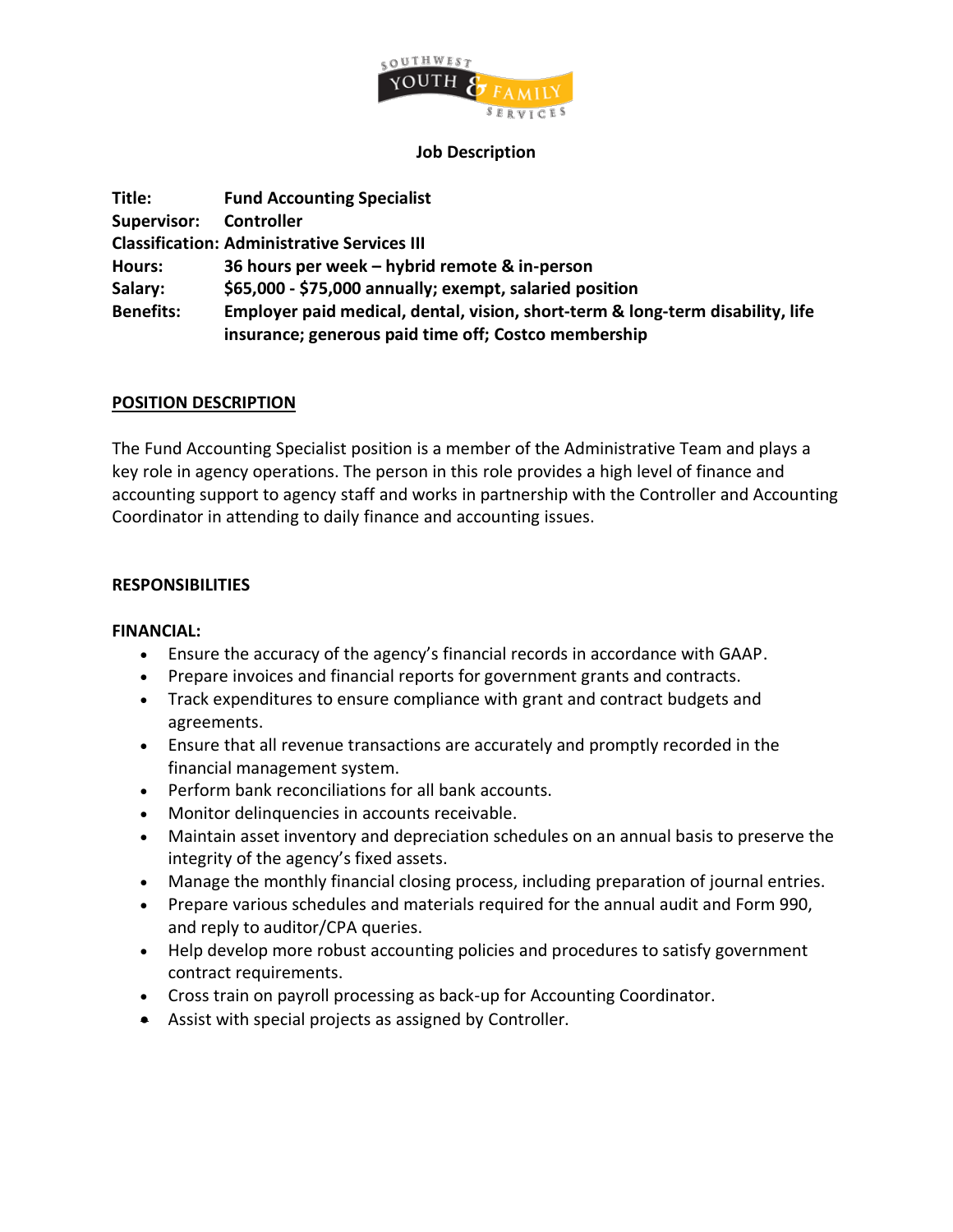

#### **Job Description**

| Title:             | <b>Fund Accounting Specialist</b>                                              |
|--------------------|--------------------------------------------------------------------------------|
| <b>Supervisor:</b> | Controller                                                                     |
|                    | <b>Classification: Administrative Services III</b>                             |
| <b>Hours:</b>      | 36 hours per week – hybrid remote & in-person                                  |
| Salary:            | \$65,000 - \$75,000 annually; exempt, salaried position                        |
| <b>Benefits:</b>   | Employer paid medical, dental, vision, short-term & long-term disability, life |
|                    | insurance; generous paid time off; Costco membership                           |

## **POSITION DESCRIPTION**

The Fund Accounting Specialist position is a member of the Administrative Team and plays a key role in agency operations. The person in this role provides a high level of finance and accounting support to agency staff and works in partnership with the Controller and Accounting Coordinator in attending to daily finance and accounting issues.

## **RESPONSIBILITIES**

#### **FINANCIAL:**

- Ensure the accuracy of the agency's financial records in accordance with GAAP.
- Prepare invoices and financial reports for government grants and contracts.
- Track expenditures to ensure compliance with grant and contract budgets and agreements.
- Ensure that all revenue transactions are accurately and promptly recorded in the financial management system.
- Perform bank reconciliations for all bank accounts.
- Monitor delinquencies in accounts receivable.
- Maintain asset inventory and depreciation schedules on an annual basis to preserve the integrity of the agency's fixed assets.
- Manage the monthly financial closing process, including preparation of journal entries.
- Prepare various schedules and materials required for the annual audit and Form 990, and reply to auditor/CPA queries.
- Help develop more robust accounting policies and procedures to satisfy government contract requirements.
- Cross train on payroll processing as back-up for Accounting Coordinator.
- Assist with special projects as assigned by Controller.